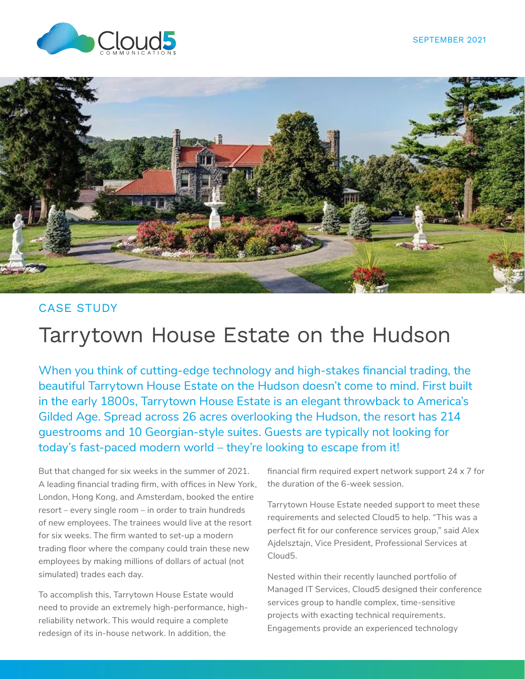



### CASE STUDY

### Tarrytown House Estate on the Hudson

When you think of cutting-edge technology and high-stakes financial trading, the beautiful Tarrytown House Estate on the Hudson doesn't come to mind. First built in the early 1800s, Tarrytown House Estate is an elegant throwback to America's Gilded Age. Spread across 26 acres overlooking the Hudson, the resort has 214 guestrooms and 10 Georgian-style suites. Guests are typically not looking for today's fast-paced modern world – they're looking to escape from it!

But that changed for six weeks in the summer of 2021. A leading financial trading firm, with offices in New York, London, Hong Kong, and Amsterdam, booked the entire resort – every single room – in order to train hundreds of new employees. The trainees would live at the resort for six weeks. The firm wanted to set-up a modern trading floor where the company could train these new employees by making millions of dollars of actual (not simulated) trades each day.

To accomplish this, Tarrytown House Estate would need to provide an extremely high-performance, highreliability network. This would require a complete redesign of its in-house network. In addition, the

financial firm required expert network support 24 x 7 for the duration of the 6-week session.

Tarrytown House Estate needed support to meet these requirements and selected Cloud5 to help. "This was a perfect fit for our conference services group," said Alex Ajdelsztajn, Vice President, Professional Services at Cloud5.

Nested within their recently launched portfolio of Managed IT Services, Cloud5 designed their conference services group to handle complex, time-sensitive projects with exacting technical requirements. Engagements provide an experienced technology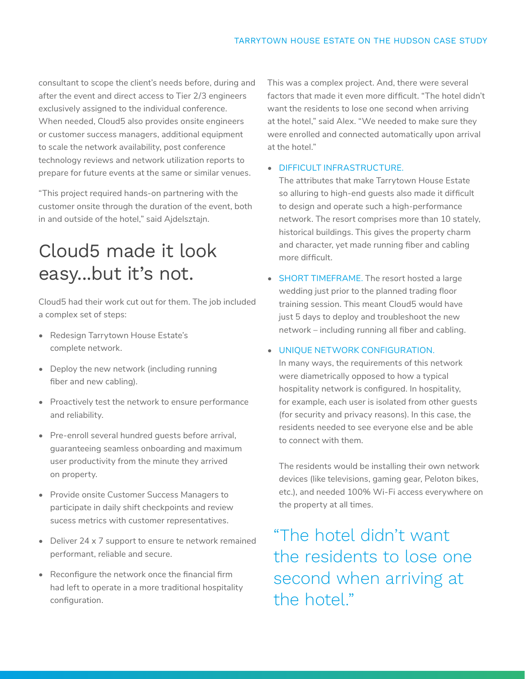consultant to scope the client's needs before, during and after the event and direct access to Tier 2/3 engineers exclusively assigned to the individual conference. When needed, Cloud5 also provides onsite engineers or customer success managers, additional equipment to scale the network availability, post conference technology reviews and network utilization reports to prepare for future events at the same or similar venues.

"This project required hands-on partnering with the customer onsite through the duration of the event, both in and outside of the hotel," said Ajdelsztajn.

# Cloud5 made it look easy...but it's not.

Cloud5 had their work cut out for them. The job included a complex set of steps:

- Redesign Tarrytown House Estate's complete network.
- Deploy the new network (including running fiber and new cabling).
- Proactively test the network to ensure performance and reliability.
- Pre-enroll several hundred guests before arrival, guaranteeing seamless onboarding and maximum user productivity from the minute they arrived on property.
- Provide onsite Customer Success Managers to participate in daily shift checkpoints and review sucess metrics with customer representatives.
- Deliver 24 x 7 support to ensure te network remained performant, reliable and secure.
- Reconfigure the network once the financial firm had left to operate in a more traditional hospitality configuration.

This was a complex project. And, there were several factors that made it even more difficult. "The hotel didn't want the residents to lose one second when arriving at the hotel," said Alex. "We needed to make sure they were enrolled and connected automatically upon arrival at the hotel."

### • DIFFICULT INFRASTRUCTURE.

The attributes that make Tarrytown House Estate so alluring to high-end guests also made it difficult to design and operate such a high-performance network. The resort comprises more than 10 stately, historical buildings. This gives the property charm and character, yet made running fiber and cabling more difficult.

• SHORT TIMEFRAME. The resort hosted a large wedding just prior to the planned trading floor training session. This meant Cloud5 would have just 5 days to deploy and troubleshoot the new network – including running all fiber and cabling.

#### • UNIQUE NETWORK CONFIGURATION.

In many ways, the requirements of this network were diametrically opposed to how a typical hospitality network is configured. In hospitality, for example, each user is isolated from other guests (for security and privacy reasons). In this case, the residents needed to see everyone else and be able to connect with them.

The residents would be installing their own network devices (like televisions, gaming gear, Peloton bikes, etc.), and needed 100% Wi-Fi access everywhere on the property at all times.

"The hotel didn't want the residents to lose one second when arriving at the hotel."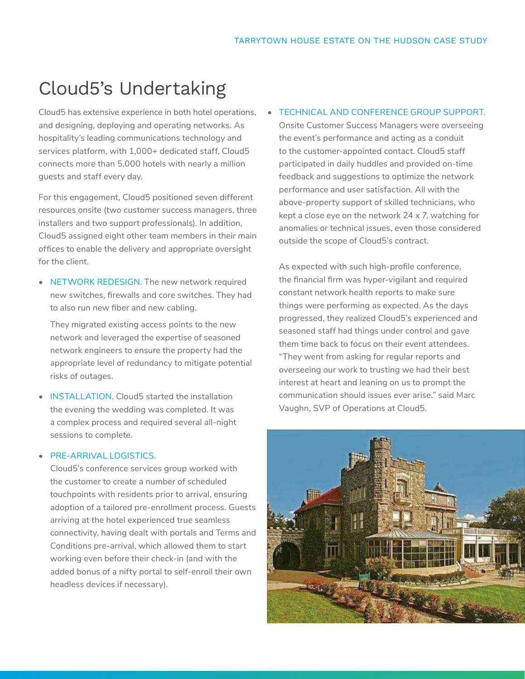## Cloud5's Undertaking

Cloud5 has extensive experience in both hotel operations, and designing, deploying and operating networks. As hospitality's leading communications technology and services platform, with 1,000+ dedicated staff, Cloud5 connects more than 5,000 hotels with nearly a million guests and staff every day.

For this engagement, Cloud5 positioned seven different resources onsite (two customer success managers, three installers and two support professionals). In addition, Cloud5 assigned eight other team members in their main offices to enable the delivery and appropriate oversight for the client.

• NETWORK REDESIGN. The new network required new switches, firewalls and core switches. They had to also run new fiber and new cabling.

They migrated existing access points to the new network and leveraged the expertise of seasoned network engineers to ensure the property had the appropriate level of redundancy to mitigate potential risks of outages.

• **INSTALLATION**. Cloud5 started the installation the evening the wedding was completed. It was a complex process and required several all-night sessions to complete.

#### • PRE-ARRIVAL LOGISTICS

Cloud5's conference services group worked with the customer to create a number of scheduled touchpoints with residents prior to arrival, ensuring adoption of a tailored pre-enrollment process. Guests arriving at the hotel experienced true seamless connectivity, having dealt with portals and Terms and Conditions pre-arrival, which allowed them to start working even before their check-in (and with the added bonus of a nifty portal to self-enroll their own headless devices if necessary).

#### • TECHNICAL AND CONFERENCE GROUP SUPPORT.

Onsite Customer Success Managers were overseeing the event's performance and acting as a conduit to the customer-appointed contact. Cloud5 staff participated in daily huddles and provided on-time feedback and suggestions to optimize the network performance and user satisfaction. All with the above-property support of skilled technicians, who kept a close eye on the network 24 x 7, watching for anomalies or technical issues, even those considered outside the scope of Cloud5's contract.

As expected with such high-profile conference, the financial firm was hyper-vigilant and required constant network health reports to make sure things were performing as expected. As the days progressed, they realized Cloud5's experienced and seasoned staff had things under control and gave them time back to focus on their event attendees. "They went from asking for regular reports and overseeing our work to trusting we had their best interest at heart and leaning on us to prompt the communication should issues ever arise." said Marc Vaughn, SVP of Operations at Cloud5.